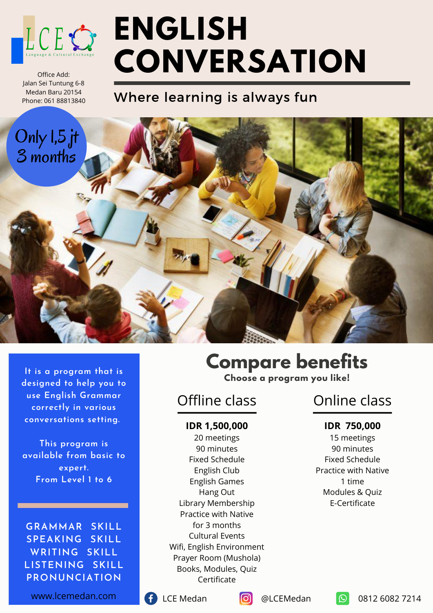

Office Add: Jalan Sei Tuntung 6-8 Medan Baru 20154 Phone: 061 88813840

# **ENGLISH CONVERSATION**

# Where learning is always fun



**It is a program that is designed to help you to use English Grammar correctly in various conversations setting.**

**This program is available from basic to expert. From Level 1 to 6**

**GRAMMAR SKILL SPEAKING SKILL WRITING SKILL LISTENING SKILL PRONUNCIATION**

www.lcemedan.com

## **Compare benefits Choose a program you like!**

Offline class

#### **IDR 1,500,000**

20 meetings 90 minutes Fixed Schedule English Club English Games Hang Out Library Membership Practice with Native for 3 months Cultural Events Wifi, English Environment Prayer Room (Mushola) Books, Modules, Quiz Certificate

# Online class

#### **IDR 750,000**

15 meetings 90 minutes Fixed Schedule Practice with Native 1 time Modules & Quiz E-Certificate